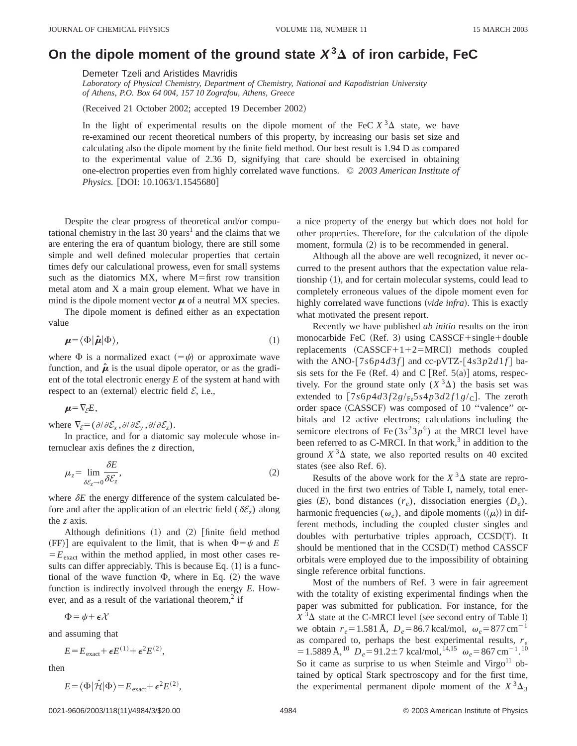## On the dipole moment of the ground state  $X^3\Delta$  of iron carbide, FeC

Demeter Tzeli and Aristides Mavridis

*Laboratory of Physical Chemistry, Department of Chemistry, National and Kapodistrian University of Athens, P.O. Box 64 004, 157 10 Zografou, Athens, Greece*

(Received 21 October 2002; accepted 19 December 2002)

In the light of experimental results on the dipole moment of the FeC  $X^3\Delta$  state, we have re-examined our recent theoretical numbers of this property, by increasing our basis set size and calculating also the dipole moment by the finite field method. Our best result is 1.94 D as compared to the experimental value of 2.36 D, signifying that care should be exercised in obtaining one-electron properties even from highly correlated wave functions. © *2003 American Institute of Physics.* [DOI: 10.1063/1.1545680]

Despite the clear progress of theoretical and/or computational chemistry in the last 30 years<sup>1</sup> and the claims that we are entering the era of quantum biology, there are still some simple and well defined molecular properties that certain times defy our calculational prowess, even for small systems such as the diatomics  $MX$ , where  $M = first$  row transition metal atom and X a main group element. What we have in mind is the dipole moment vector  $\mu$  of a neutral MX species.

The dipole moment is defined either as an expectation value

$$
\boldsymbol{\mu} = \langle \Phi | \hat{\boldsymbol{\mu}} | \Phi \rangle, \tag{1}
$$

where  $\Phi$  is a normalized exact  $(=\psi)$  or approximate wave function, and  $\hat{\mu}$  is the usual dipole operator, or as the gradient of the total electronic energy *E* of the system at hand with respect to an (external) electric field  $\mathcal{E}$ , i.e.,

$$
\mu = \nabla_{\xi} E,
$$

where  $\nabla_{\mathcal{E}} = (\partial/\partial \mathcal{E}_x, \partial/\partial \mathcal{E}_y, \partial/\partial \mathcal{E}_z)$ .

In practice, and for a diatomic say molecule whose internuclear axis defines the *z* direction,

$$
\mu_z = \lim_{\delta \mathcal{E}_z \to 0} \frac{\delta E}{\delta \mathcal{E}_z},\tag{2}
$$

where  $\delta E$  the energy difference of the system calculated before and after the application of an electric field ( $\delta \mathcal{E}_z$ ) along the *z* axis.

Although definitions  $(1)$  and  $(2)$  [finite field method (FF)] are equivalent to the limit, that is when  $\Phi = \psi$  and *E*  $E_{\text{exact}}$  within the method applied, in most other cases results can differ appreciably. This is because Eq.  $(1)$  is a functional of the wave function  $\Phi$ , where in Eq. (2) the wave function is indirectly involved through the energy *E*. However, and as a result of the variational theorem,<sup>2</sup> if

$$
\Phi = \psi + \epsilon \mathcal{X}
$$

and assuming that

$$
E = E_{\text{exact}} + \epsilon E^{(1)} + \epsilon^2 E^{(2)},
$$

then

$$
E = \langle \Phi | \hat{\mathcal{H}} | \Phi \rangle = E_{\text{exact}} + \epsilon^2 E^{(2)},
$$

a nice property of the energy but which does not hold for other properties. Therefore, for the calculation of the dipole moment, formula  $(2)$  is to be recommended in general.

Although all the above are well recognized, it never occurred to the present authors that the expectation value relationship  $(1)$ , and for certain molecular systems, could lead to completely erroneous values of the dipole moment even for highly correlated wave functions *(vide infra)*. This is exactly what motivated the present report.

Recently we have published *ab initio* results on the iron monocarbide FeC  $(Ref. 3)$  using CASSCF+single+double replacements  $(CASSCF+1+2=MRCI)$  methods coupled with the ANO- $[7s6p4d3f]$  and cc-pVTZ- $[4s3p2d1f]$  basis sets for the Fe (Ref. 4) and C [Ref.  $5(a)$ ] atoms, respectively. For the ground state only  $(X^3\Delta)$  the basis set was extended to  $[7s6p4d3f2g/Fe5s4p3d2f1g/c]$ . The zeroth order space (CASSCF) was composed of 10 "valence" orbitals and 12 active electrons; calculations including the semicore electrons of Fe  $(3s^23p^6)$  at the MRCI level have been referred to as  $C$ -MRCI. In that work,<sup>3</sup> in addition to the ground  $X^3\Delta$  state, we also reported results on 40 excited states (see also Ref. 6).

Results of the above work for the  $X^3\Delta$  state are reproduced in the first two entries of Table I, namely, total energies  $(E)$ , bond distances  $(r_e)$ , dissociation energies  $(D_e)$ , harmonic frequencies ( $\omega_e$ ), and dipole moments ( $\langle \mu \rangle$ ) in different methods, including the coupled cluster singles and doubles with perturbative triples approach,  $CCSD(T)$ . It should be mentioned that in the  $CCSD(T)$  method  $CASSCF$ orbitals were employed due to the impossibility of obtaining single reference orbital functions.

Most of the numbers of Ref. 3 were in fair agreement with the totality of existing experimental findings when the paper was submitted for publication. For instance, for the  $X$ <sup>3</sup> $\Delta$  state at the C-MRCI level (see second entry of Table I) we obtain  $r_e = 1.581 \text{ Å}$ ,  $D_e = 86.7 \text{ kcal/mol}$ ,  $\omega_e = 877 \text{ cm}^{-1}$ as compared to, perhaps the best experimental results,  $r_e$  $=1.5889 \text{ Å},^{10}$   $D_e=91.2\pm7 \text{ kcal/mol},^{14,15}$   $\omega_e=867 \text{ cm}^{-1}.^{10}$ So it came as surprise to us when Steimle and Virgo $11$  obtained by optical Stark spectroscopy and for the first time, the experimental permanent dipole moment of the  $X^3\Delta_3$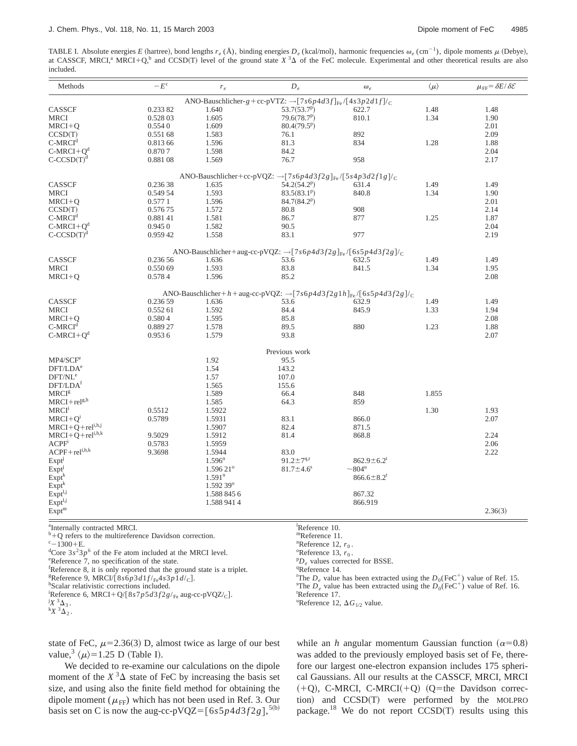TABLE I. Absolute energies *E* (hartree), bond lengths  $r_e$  (Å), binding energies  $D_e$  (kcal/mol), harmonic frequencies  $\omega_e$  (cm<sup>-1</sup>), dipole moments  $\mu$  (Debye), at CASSCF, MRCI,<sup>a</sup> MRCI+Q,<sup>b</sup> and CCSD(T) level of the ground state  $X$ <sup>3</sup> $\Delta$  of the FeC molecule. Experimental and other theoretical results are also included.

| Methods                  | $-E^c$   | $r_{e}$                | $D_e$                                                                                                  | $\omega_e$                   | $\langle \mu \rangle$ | $\mu_{\text{FF}} = \delta E/\delta \mathcal{E}$ |
|--------------------------|----------|------------------------|--------------------------------------------------------------------------------------------------------|------------------------------|-----------------------|-------------------------------------------------|
|                          |          |                        | ANO-Bauschlicher-g + cc-pVTZ: $\rightarrow$ [7s6p4d3f] <sub>Fe</sub> /[4s3p2d1f]/ <sub>C</sub>         |                              |                       |                                                 |
| CASSCF                   | 0.23382  | 1.640                  | $53.7(53.7^p)$                                                                                         | 622.7                        | 1.48                  | 1.48                                            |
| <b>MRCI</b>              | 0.528 03 | 1.605                  | 79.6(78.7 <sup>p</sup> )                                                                               | 810.1                        | 1.34                  | 1.90                                            |
| $MRCI+Q$                 | 0.5540   | 1.609                  | 80.4(79.5 <sup>p</sup> )                                                                               |                              |                       | 2.01                                            |
| CCSD(T)                  | 0.551 68 | 1.583                  | 76.1                                                                                                   | 892                          |                       | 2.09                                            |
| $C-MRCId$                | 0.813 66 | 1.596                  | 81.3                                                                                                   | 834                          | 1.28                  | 1.88                                            |
| $C-MRCI+Qd$              | 0.8707   | 1.598                  | 84.2                                                                                                   |                              |                       | 2.04                                            |
| $C-CCSD(T)d$             | 0.88108  | 1.569                  | 76.7                                                                                                   | 958                          |                       | 2.17                                            |
|                          |          |                        | ANO-Bauschlicher+cc-pVQZ: $\rightarrow$ [7s6p4d3f2g] <sub>Fe</sub> /[5s4p3d2f1g]/ <sub>C</sub>         |                              |                       |                                                 |
| CASSCF                   | 0.236 38 | 1.635                  | 54.2(54.2 <sup>p</sup> )                                                                               | 631.4                        | 1.49                  | 1.49                                            |
| <b>MRCI</b>              | 0.549 54 | 1.593                  | $83.5(83.1^p)$                                                                                         | 840.8                        | 1.34                  | 1.90                                            |
| $MRCI+Q$                 | 0.5771   | 1.596                  | 84.7(84.2 <sup>p</sup> )                                                                               |                              |                       | 2.01                                            |
| CCSD(T)                  | 0.57675  | 1.572                  | 80.8                                                                                                   | 908                          |                       | 2.14                                            |
| $C-MRCId$                | 0.88141  | 1.581                  | 86.7                                                                                                   | 877                          | 1.25                  | 1.87                                            |
| $C-MRCI+Qd$              | 0.9450   | 1.582                  | 90.5                                                                                                   |                              |                       | 2.04                                            |
| $C-CCSD(T)d$             | 0.959 42 | 1.558                  | 83.1                                                                                                   | 977                          |                       | 2.19                                            |
|                          |          |                        | ANO-Bauschlicher+aug-cc-pVQZ: $\rightarrow$ [7s6p4d3f2g] <sub>Fe</sub> /[6s5p4d3f2g]/ <sub>C</sub>     |                              |                       |                                                 |
| CASSCF                   | 0.236 56 | 1.636                  | 53.6                                                                                                   | 632.5                        | 1.49                  | 1.49                                            |
| <b>MRCI</b>              | 0.550 69 | 1.593                  | 83.8                                                                                                   | 841.5                        | 1.34                  | 1.95                                            |
| $MRCI+Q$                 | 0.5784   | 1.596                  | 85.2                                                                                                   |                              |                       | 2.08                                            |
|                          |          |                        |                                                                                                        |                              |                       |                                                 |
|                          |          |                        | ANO-Bauschlicher+h+aug-cc-pVQZ: $\rightarrow$ [7s6p4d3f2g1h] <sub>Fe</sub> /[6s5p4d3f2g]/ <sub>C</sub> |                              |                       |                                                 |
| CASSCF                   | 0.236 59 | 1.636                  | 53.6                                                                                                   | 632.9                        | 1.49                  | 1.49                                            |
| <b>MRCI</b>              | 0.552 61 | 1.592                  | 84.4                                                                                                   | 845.9                        | 1.33                  | 1.94                                            |
| $MRCI+Q$                 | 0.5804   | 1.595                  | 85.8                                                                                                   |                              |                       | 2.08                                            |
| $C-MRCId$                | 0.889 27 | 1.578                  | 89.5                                                                                                   | 880                          | 1.23                  | 1.88                                            |
| $C-MRCI+Qd$              | 0.9536   | 1.579                  | 93.8                                                                                                   |                              |                       | 2.07                                            |
|                          |          |                        | Previous work                                                                                          |                              |                       |                                                 |
| MP4/SCF <sup>e</sup>     |          | 1.92                   | 95.5                                                                                                   |                              |                       |                                                 |
| DFT/LDA <sup>e</sup>     |          | 1.54                   | 143.2                                                                                                  |                              |                       |                                                 |
| DFT/NL <sup>e</sup>      |          | 1.57                   | 107.0                                                                                                  |                              |                       |                                                 |
| DFT/LDA <sup>f</sup>     |          | 1.565                  | 155.6                                                                                                  |                              |                       |                                                 |
| MRCI <sup>g</sup>        |          | 1.589                  | 66.4                                                                                                   | 848                          | 1.855                 |                                                 |
| $MRCI + rel^{g,h}$       |          | 1.585                  | 64.3                                                                                                   | 859                          |                       |                                                 |
| <b>MRCI</b> <sup>1</sup> | 0.5512   | 1.5922                 |                                                                                                        |                              | 1.30                  | 1.93                                            |
| $MRCI+Q^i$               | 0.5789   | 1.5931                 | 83.1                                                                                                   | 866.0                        |                       | 2.07                                            |
| $MRCI+Q+reli,h,j$        |          | 1.5907                 | 82.4                                                                                                   | 871.5                        |                       |                                                 |
| $MRCI+Q+reli,h,k$        | 9.5029   | 1.5912                 | 81.4                                                                                                   | 868.8                        |                       | 2.24                                            |
| ACPF <sup>i</sup>        | 0.5783   | 1.5959                 |                                                                                                        |                              |                       | 2.06                                            |
| $ACPF + rel^{i,h,k}$     | 9.3698   | 1.5944                 | 83.0                                                                                                   |                              |                       | 2.22                                            |
| Expt                     |          | $1.596^n$              | $91.2 \pm 7^{q,r}$                                                                                     | $862.9 \pm 6.2$ <sup>t</sup> |                       |                                                 |
| Expt                     |          | $1.59621$ <sup>o</sup> | $81.7 \pm 4.6$ <sup>s</sup>                                                                            | $\sim$ 804 <sup>u</sup>      |                       |                                                 |
| $Expt^k$                 |          | 1.591 <sup>n</sup>     |                                                                                                        | $866.6 \pm 8.2$ <sup>t</sup> |                       |                                                 |
| Expt <sup>k</sup>        |          | 1.592 39 <sup>°</sup>  |                                                                                                        |                              |                       |                                                 |
| $Expt^{l,j}$             |          | 1.588 845 6            |                                                                                                        | 867.32                       |                       |                                                 |
| $Expt^{l,j}$             |          |                        |                                                                                                        |                              |                       |                                                 |
| Expt <sup>m</sup>        |          | 1.588 941 4            |                                                                                                        | 866.919                      |                       | 2.36(3)                                         |
|                          |          |                        |                                                                                                        |                              |                       |                                                 |

<sup>a</sup>Internally contracted MRCI.

- A internally contracted MRCI.<br>
<sup>b</sup>+Q refers to the multireference Davidson correction. many many many medicines in the multireference Davidson correction.<br>
<sup>c</sup> -1300+E.
- 
- ${}^{\circ}$ –1300+E.<br>
<sup>d</sup>Core 3*s*<sup>2</sup>3*p*<sup>6</sup> of the Fe atom included at the MRCI level.  ${}^{\circ}$  <sup>o</sup>Reference 13, *r*<sub>0</sub> .<br>
<sup>P</sup>P of arenog 7, no specification of the state is a state of the state is a state is a state is a stat <sup>d</sup>Core  $3s^23p^6$  of the Fe atom included at the MRCI level.<br>
<sup>e</sup>Reference 13,  $r_0$ .<br>
<sup>e</sup>Reference 7, no specification of the state.<br>
<sup>F</sup>Reference 8, it is only reported that the ground state is a triplet.<br>
<sup>9</sup>Reference
- 

Pe values corrected for BSSE.<br>
Freference 8, it is only reported that the ground state is a triplet.<br> **EXPERIENCE OF A SECULAR CONDITION** SERVIT Service is a triplet.<br> **EXPERIENCE OF A SECULAR CONDITION** SERVIT The D valu

 ${}^{g}$ Reference 9, MRCI/[8*s*6*p*3*d*1*f*/<sub>Fe</sub>4*s*3*p*1*d*/<sub>C</sub>].

<sup>h</sup>Scalar relativistic corrections included.

- <sup>i</sup>Reference 6, MRCI+Q/[8*s*7*p*5*d*3*f*2*g*/<sub>Fe</sub> aug-cc-pVQZ/<sub>C</sub>].  $X^3$  $\Delta_3$ .
- $X^3\Delta_3$ .  $K^3 \Delta_2$ .

<sup>r</sup>The  $D_e$  value has been extracted using the  $D_0(\text{FeC}^+)$  value of Ref. 15. <sup>s</sup>The  $D_e$  value has been extracted using the  $D_0(FeC^+)$  value of Ref. 16. Reference 17.

<sup>u</sup>Reference 12,  $\Delta G_{1/2}$  value.

state of FeC,  $\mu$ =2.36(3) D, almost twice as large of our best value,<sup>3</sup>  $\langle \mu \rangle$ =1.25 D (Table I).

We decided to re-examine our calculations on the dipole moment of the  $X^3\Delta$  state of FeC by increasing the basis set size, and using also the finite field method for obtaining the dipole moment ( $\mu$ <sub>FF</sub>) which has not been used in Ref. 3. Our basis set on C is now the aug-cc-pVQZ= $[6s5p4d3f2g]$ ,<sup>5(b)</sup> while an *h* angular momentum Gaussian function  $(\alpha=0.8)$ was added to the previously employed basis set of Fe, therefore our largest one-electron expansion includes 175 spherical Gaussians. All our results at the CASSCF, MRCI, MRCI  $(+Q)$ , C-MRCI, C-MRCI $(+Q)$  (Q=the Davidson correction) and CCSD(T) were performed by the MOLPRO package.<sup>18</sup> We do not report  $CCSD(T)$  results using this